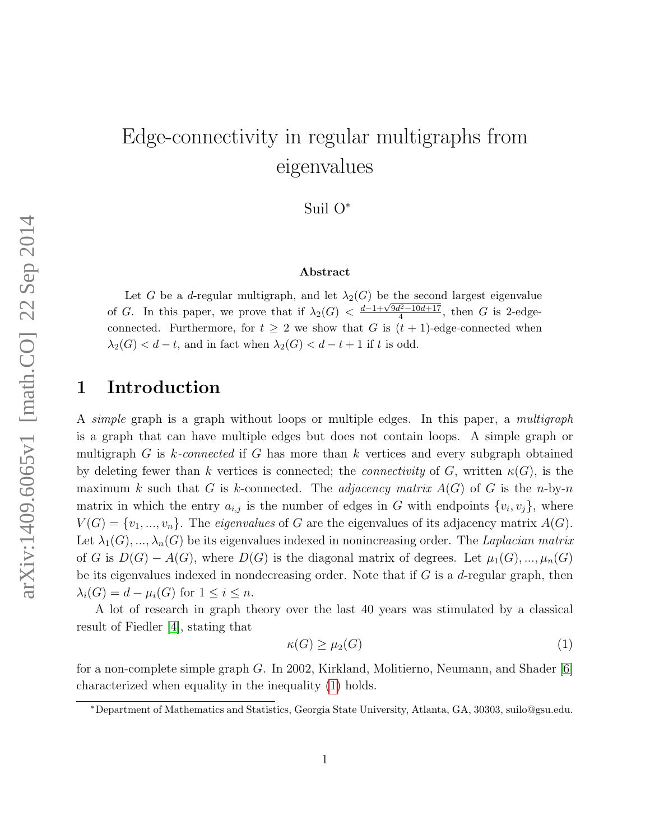# Edge-connectivity in regular multigraphs from eigenvalues

Suil O<sup>∗</sup>

#### Abstract

Let G be a d-regular multigraph, and let  $\lambda_2(G)$  be the second largest eigenvalue of G. In this paper, we prove that if  $\lambda_2(G) < \frac{d-1+\sqrt{9d^2-10d+17}}{4}$  $\frac{d^2-10d+17}{4}$ , then G is 2-edgeconnected. Furthermore, for  $t \geq 2$  we show that G is  $(t + 1)$ -edge-connected when  $\lambda_2(G) < d - t$ , and in fact when  $\lambda_2(G) < d - t + 1$  if t is odd.

#### 1 Introduction

A *simple* graph is a graph without loops or multiple edges. In this paper, a multigraph is a graph that can have multiple edges but does not contain loops. A simple graph or multigraph  $G$  is k-connected if  $G$  has more than  $k$  vertices and every subgraph obtained by deleting fewer than k vertices is connected; the *connectivity* of G, written  $\kappa(G)$ , is the maximum k such that G is k-connected. The *adjacency matrix*  $A(G)$  of G is the n-by-n matrix in which the entry  $a_{i,j}$  is the number of edges in G with endpoints  $\{v_i, v_j\}$ , where  $V(G) = \{v_1, ..., v_n\}$ . The *eigenvalues* of G are the eigenvalues of its adjacency matrix  $A(G)$ . Let  $\lambda_1(G), ..., \lambda_n(G)$  be its eigenvalues indexed in nonincreasing order. The Laplacian matrix of G is  $D(G) - A(G)$ , where  $D(G)$  is the diagonal matrix of degrees. Let  $\mu_1(G), ..., \mu_n(G)$ be its eigenvalues indexed in nondecreasing order. Note that if  $G$  is a  $d$ -regular graph, then  $\lambda_i(G) = d - \mu_i(G)$  for  $1 \leq i \leq n$ .

A lot of research in graph theory over the last 40 years was stimulated by a classical result of Fiedler [\[4\]](#page-10-0), stating that

<span id="page-0-0"></span>
$$
\kappa(G) \ge \mu_2(G) \tag{1}
$$

for a non-complete simple graph G. In 2002, Kirkland, Molitierno, Neumann, and Shader [\[6\]](#page-10-1) characterized when equality in the inequality [\(1\)](#page-0-0) holds.

<sup>∗</sup>Department of Mathematics and Statistics, Georgia State University, Atlanta, GA, 30303, suilo@gsu.edu.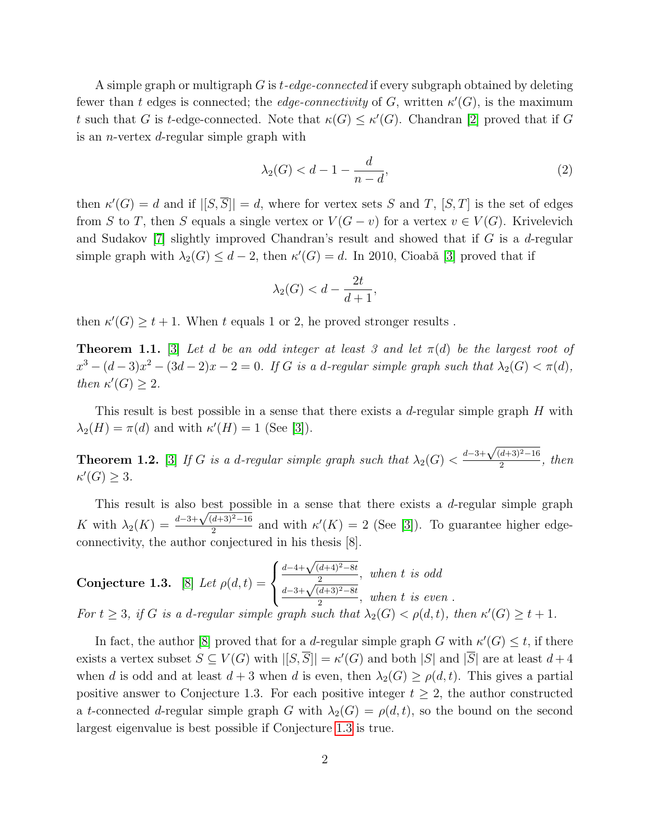A simple graph or multigraph G is t-edge-connected if every subgraph obtained by deleting fewer than t edges is connected; the edge-connectivity of G, written  $\kappa'(G)$ , is the maximum t such that G is t-edge-connected. Note that  $\kappa(G) \leq \kappa'(G)$ . Chandran [\[2\]](#page-9-0) proved that if G is an n-vertex d-regular simple graph with

$$
\lambda_2(G) < d - 1 - \frac{d}{n - d},\tag{2}
$$

then  $\kappa'(G) = d$  and if  $|[S,\overline{S}]| = d$ , where for vertex sets S and T,  $[S,T]$  is the set of edges from S to T, then S equals a single vertex or  $V(G - v)$  for a vertex  $v \in V(G)$ . Krivelevich and Sudakov  $[7]$  slightly improved Chandran's result and showed that if G is a d-regular simple graph with  $\lambda_2(G) \leq d-2$ , then  $\kappa'(G) = d$ . In 2010, Cioabǎ [\[3\]](#page-10-3) proved that if

$$
\lambda_2(G) < d - \frac{2t}{d+1},
$$

then  $\kappa'(G) \geq t + 1$ . When t equals 1 or 2, he proved stronger results.

**Theorem 1.1.** [\[3\]](#page-10-3) Let d be an odd integer at least 3 and let  $\pi(d)$  be the largest root of  $x^3 - (d-3)x^2 - (3d-2)x - 2 = 0$ . If G is a d-regular simple graph such that  $\lambda_2(G) < \pi(d)$ , then  $\kappa'(G) \geq 2$ .

This result is best possible in a sense that there exists a d-regular simple graph H with  $\lambda_2(H) = \pi(d)$  and with  $\kappa'(H) = 1$  (See [\[3\]](#page-10-3)).

**Theorem 1.2.** [\[3\]](#page-10-3) If G is a d-regular simple graph such that  $\lambda_2(G)$  <  $d-3+\sqrt{(d+3)^2-16}$  $\frac{a+3i-10}{2}$ , then  $\kappa'(G) \geq 3$ .

This result is also best possible in a sense that there exists a  $d$ -regular simple graph This result is also b<br>K with  $\lambda_2(K) = \frac{d-3+\sqrt{2}}{2}$  $(d+3)^{2}-16$  $\frac{a+3}{2}$  and with  $\kappa'(K) = 2$  (See [\[3\]](#page-10-3)). To guarantee higher edgeconnectivity, the author conjectured in his thesis [8].

<span id="page-1-0"></span>**Conjecture 1.3.** [8] Let 
$$
\rho(d,t) = \begin{cases} \frac{d-4+\sqrt{(d+4)^2-8t}}{2}, & \text{when } t \text{ is odd} \\ \frac{d-3+\sqrt{(d+3)^2-8t}}{2}, & \text{when } t \text{ is even} \end{cases}
$$
.

For  $t \geq 3$ , if G is a d-regular simple graph such that  $\lambda_2(G) < \rho(d,t)$ , then  $\kappa'(G) \geq t + 1$ .

In fact, the author [\[8\]](#page-10-4) proved that for a *d*-regular simple graph G with  $\kappa'(G) \leq t$ , if there exists a vertex subset  $S \subseteq V(G)$  with  $|[S,\overline{S}]| = \kappa'(G)$  and both  $|S|$  and  $|\overline{S}|$  are at least  $d+4$ when d is odd and at least  $d+3$  when d is even, then  $\lambda_2(G) \geq \rho(d,t)$ . This gives a partial positive answer to Conjecture 1.3. For each positive integer  $t \geq 2$ , the author constructed a t-connected d-regular simple graph G with  $\lambda_2(G) = \rho(d, t)$ , so the bound on the second largest eigenvalue is best possible if Conjecture [1.3](#page-1-0) is true.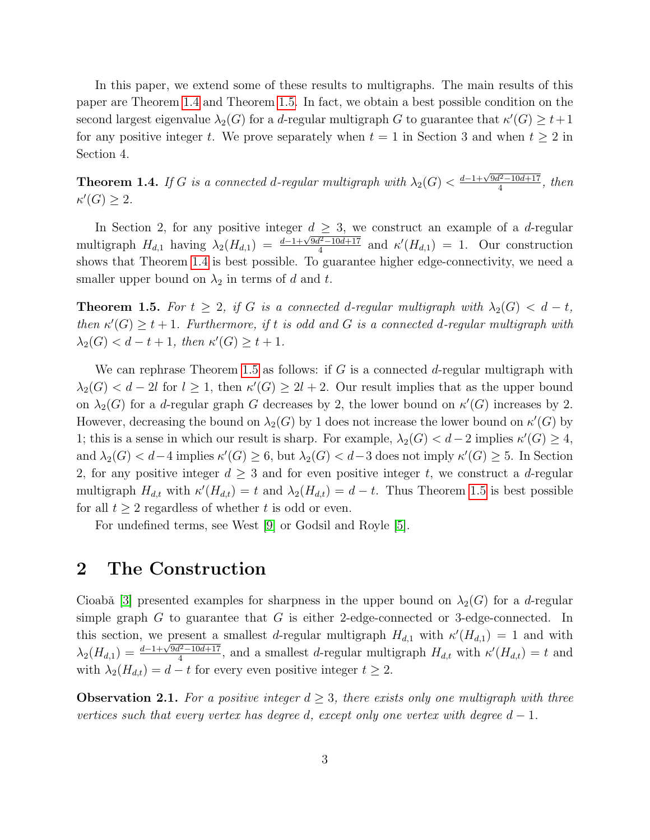In this paper, we extend some of these results to multigraphs. The main results of this paper are Theorem [1.4](#page-2-0) and Theorem [1.5.](#page-2-1) In fact, we obtain a best possible condition on the second largest eigenvalue  $\lambda_2(G)$  for a d-regular multigraph G to guarantee that  $\kappa'(G) \geq t+1$ for any positive integer t. We prove separately when  $t = 1$  in Section 3 and when  $t \geq 2$  in Section 4.

<span id="page-2-0"></span>**Theorem 1.4.** If G is a connected d-regular multigraph with  $\lambda_2(G) < \frac{d-1+\sqrt{9d^2-10d+17}}{4}$  $\frac{d^2-10d+17}{4}$ , then  $\kappa'(G) \geq 2.$ 

In Section 2, for any positive integer  $d \geq 3$ , we construct an example of a d-regular multigraph  $H_{d,1}$  having  $\lambda_2(H_{d,1}) = \frac{d-1+\sqrt{9d^2-10d+17}}{4}$  $\frac{d^2-10d+17}{4}$  and  $\kappa'(H_{d,1}) = 1$ . Our construction shows that Theorem [1.4](#page-2-0) is best possible. To guarantee higher edge-connectivity, we need a smaller upper bound on  $\lambda_2$  in terms of d and t.

<span id="page-2-1"></span>**Theorem 1.5.** For  $t \geq 2$ , if G is a connected d-regular multigraph with  $\lambda_2(G) < d - t$ , then  $\kappa'(G) \geq t+1$ . Furthermore, if t is odd and G is a connected d-regular multigraph with  $\lambda_2(G) < d-t+1$ , then  $\kappa'(G) \geq t+1$ .

We can rephrase Theorem [1.5](#page-2-1) as follows: if G is a connected d-regular multigraph with  $\lambda_2(G) < d-2l$  for  $l \geq 1$ , then  $\kappa'(G) \geq 2l+2$ . Our result implies that as the upper bound on  $\lambda_2(G)$  for a d-regular graph G decreases by 2, the lower bound on  $\kappa'(G)$  increases by 2. However, decreasing the bound on  $\lambda_2(G)$  by 1 does not increase the lower bound on  $\kappa'(G)$  by 1; this is a sense in which our result is sharp. For example,  $\lambda_2(G) < d-2$  implies  $\kappa'(G) \geq 4$ , and  $\lambda_2(G) < d-4$  implies  $\kappa'(G) \geq 6$ , but  $\lambda_2(G) < d-3$  does not imply  $\kappa'(G) \geq 5$ . In Section 2, for any positive integer  $d \geq 3$  and for even positive integer t, we construct a d-regular multigraph  $H_{d,t}$  with  $\kappa'(H_{d,t}) = t$  and  $\lambda_2(H_{d,t}) = d - t$ . Thus Theorem [1.5](#page-2-1) is best possible for all  $t \geq 2$  regardless of whether t is odd or even.

For undefined terms, see West [\[9\]](#page-10-5) or Godsil and Royle [\[5\]](#page-10-6).

## 2 The Construction

Cioabǎ [\[3\]](#page-10-3) presented examples for sharpness in the upper bound on  $\lambda_2(G)$  for a d-regular simple graph  $G$  to guarantee that  $G$  is either 2-edge-connected or 3-edge-connected. In this section, we present a smallest d-regular multigraph  $H_{d,1}$  with  $\kappa'(H_{d,1}) = 1$  and with  $\lambda_2(H_{d,1}) = \frac{d-1+\sqrt{9d^2-10d+17}}{4}$  $\frac{d^2-10d+17}{4}$ , and a smallest d-regular multigraph  $H_{d,t}$  with  $\kappa'(H_{d,t})=t$  and with  $\lambda_2(H_{d,t}) = d - t$  for every even positive integer  $t \geq 2$ .

<span id="page-2-2"></span>**Observation 2.1.** For a positive integer  $d \geq 3$ , there exists only one multigraph with three vertices such that every vertex has degree d, except only one vertex with degree  $d-1$ .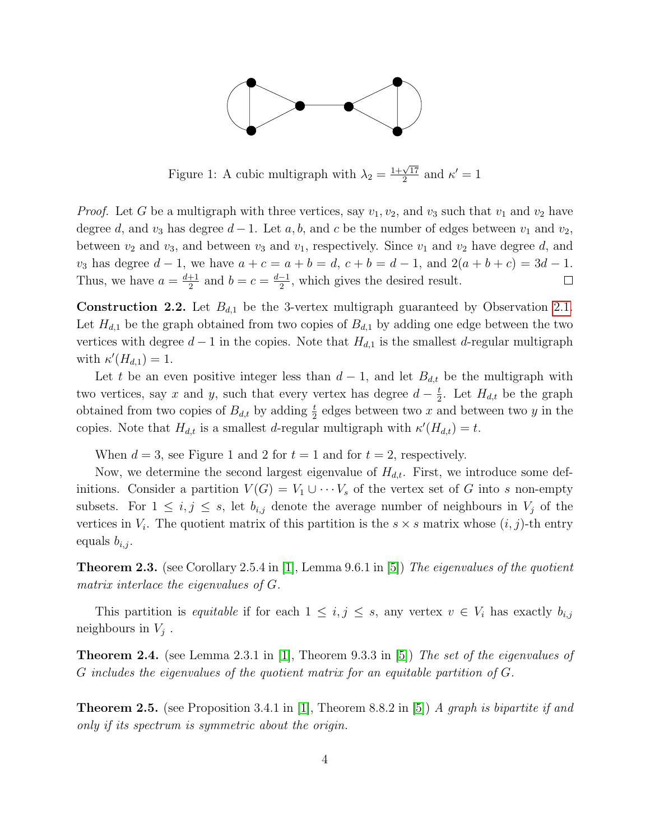

Figure 1: A cubic multigraph with  $\lambda_2 = \frac{1+\sqrt{17}}{2}$  $\frac{\sqrt{17}}{2}$  and  $\kappa' = 1$ 

*Proof.* Let G be a multigraph with three vertices, say  $v_1, v_2$ , and  $v_3$  such that  $v_1$  and  $v_2$  have degree d, and  $v_3$  has degree  $d-1$ . Let  $a, b$ , and c be the number of edges between  $v_1$  and  $v_2$ , between  $v_2$  and  $v_3$ , and between  $v_3$  and  $v_1$ , respectively. Since  $v_1$  and  $v_2$  have degree d, and v<sub>3</sub> has degree  $d-1$ , we have  $a + c = a + b = d$ ,  $c + b = d - 1$ , and  $2(a + b + c) = 3d - 1$ . Thus, we have  $a = \frac{d+1}{2}$  $\frac{+1}{2}$  and  $b = c = \frac{d-1}{2}$  $\frac{-1}{2}$ , which gives the desired result.  $\Box$ 

**Construction 2.2.** Let  $B_{d,1}$  be the 3-vertex multigraph guaranteed by Observation [2.1.](#page-2-2) Let  $H_{d,1}$  be the graph obtained from two copies of  $B_{d,1}$  by adding one edge between the two vertices with degree  $d-1$  in the copies. Note that  $H_{d,1}$  is the smallest d-regular multigraph with  $\kappa'(H_{d,1})=1$ .

Let t be an even positive integer less than  $d-1$ , and let  $B_{d,t}$  be the multigraph with two vertices, say x and y, such that every vertex has degree  $d-\frac{t}{2}$  $\frac{t}{2}$ . Let  $H_{d,t}$  be the graph obtained from two copies of  $B_{d,t}$  by adding  $\frac{t}{2}$  edges between two x and between two y in the copies. Note that  $H_{d,t}$  is a smallest d-regular multigraph with  $\kappa'(H_{d,t}) = t$ .

When  $d = 3$ , see Figure 1 and 2 for  $t = 1$  and for  $t = 2$ , respectively.

Now, we determine the second largest eigenvalue of  $H_{d,t}$ . First, we introduce some definitions. Consider a partition  $V(G) = V_1 \cup \cdots V_s$  of the vertex set of G into s non-empty subsets. For  $1 \leq i, j \leq s$ , let  $b_{i,j}$  denote the average number of neighbours in  $V_j$  of the vertices in  $V_i$ . The quotient matrix of this partition is the  $s \times s$  matrix whose  $(i, j)$ -th entry equals  $b_{i,j}$ .

<span id="page-3-2"></span>**Theorem 2.3.** (see Corollary 2.5.4 in [\[1\]](#page-9-1), Lemma 9.6.1 in [\[5\]](#page-10-6)) The eigenvalues of the quotient matrix interlace the eigenvalues of G.

This partition is equitable if for each  $1 \leq i, j \leq s$ , any vertex  $v \in V_i$  has exactly  $b_{i,j}$ neighbours in  $V_j$ .

<span id="page-3-0"></span>**Theorem 2.4.** (see Lemma 2.3.1 in [\[1\]](#page-9-1), Theorem 9.3.3 in [\[5\]](#page-10-6)) The set of the eigenvalues of G includes the eigenvalues of the quotient matrix for an equitable partition of G.

<span id="page-3-1"></span>**Theorem 2.5.** (see Proposition 3.4.1 in [\[1\]](#page-9-1), Theorem 8.8.2 in [\[5\]](#page-10-6)) A graph is bipartite if and only if its spectrum is symmetric about the origin.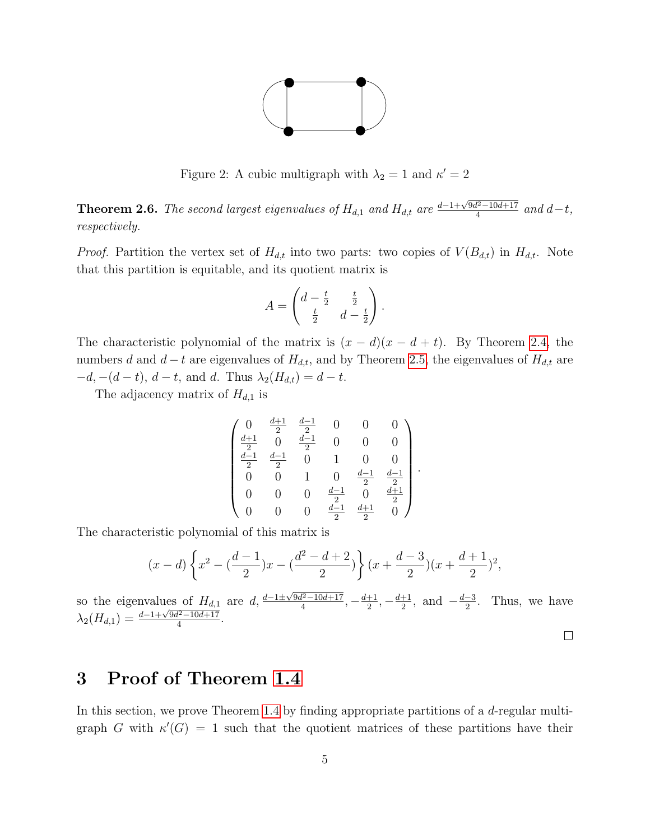

Figure 2: A cubic multigraph with  $\lambda_2 = 1$  and  $\kappa' = 2$ 

**Theorem 2.6.** The second largest eigenvalues of  $H_{d,1}$  and  $H_{d,t}$  are  $\frac{d-1+\sqrt{9d^2-10d+17}}{4}$  $\frac{d^2-10d+17}{4}$  and  $d-t$ , respectively.

*Proof.* Partition the vertex set of  $H_{d,t}$  into two parts: two copies of  $V(B_{d,t})$  in  $H_{d,t}$ . Note that this partition is equitable, and its quotient matrix is

$$
A = \begin{pmatrix} d - \frac{t}{2} & \frac{t}{2} \\ \frac{t}{2} & d - \frac{t}{2} \end{pmatrix}.
$$

The characteristic polynomial of the matrix is  $(x - d)(x - d + t)$ . By Theorem [2.4,](#page-3-0) the numbers d and  $d - t$  are eigenvalues of  $H_{d,t}$ , and by Theorem [2.5,](#page-3-1) the eigenvalues of  $H_{d,t}$  are  $-d, -(d-t), d-t$ , and d. Thus  $\lambda_2(H_{d,t}) = d-t$ .

The adjacency matrix of  $H_{d,1}$  is

$$
\begin{pmatrix}\n0 & \frac{d+1}{2} & \frac{d-1}{2} & 0 & 0 & 0 \\
\frac{d+1}{2} & 0 & \frac{d-1}{2} & 0 & 0 & 0 \\
\frac{d-1}{2} & \frac{d-1}{2} & 0 & 1 & 0 & 0 \\
0 & 0 & 1 & 0 & \frac{d-1}{2} & \frac{d-1}{2} \\
0 & 0 & 0 & \frac{d-1}{2} & 0 & \frac{d+1}{2} \\
0 & 0 & 0 & \frac{d-1}{2} & \frac{d+1}{2} & 0\n\end{pmatrix}
$$

.

The characteristic polynomial of this matrix is

$$
(x-d)\left\{x^2 - \left(\frac{d-1}{2}\right)x - \left(\frac{d^2-d+2}{2}\right)\right\}(x+\frac{d-3}{2})(x+\frac{d+1}{2})^2,
$$

so the eigenvalues of  $H_{d,1}$  are  $d, \frac{d-1 \pm \sqrt{9d^2-10d+17}}{4}$  $\frac{d^2-10d+17}{4}, -\frac{d+1}{2}$  $\frac{+1}{2}, -\frac{d+1}{2}$  $\frac{+1}{2}$ , and  $-\frac{d-3}{2}$ so the eigenvalues of  $H_{d,1}$  are  $d, \frac{d-1 \pm \sqrt{9d^2-10d+17}}{4}, -\frac{d+1}{2}, -\frac{d+1}{2}$ , and  $-\frac{d-3}{2}$ . Thus, we have  $\lambda_2(H_{d,1}) = \frac{d-1+\sqrt{9d^2-10d+17}}{4}$ .  $\frac{d^2-10d+17}{4}$ .

 $\Box$ 

## 3 Proof of Theorem [1.4](#page-2-0)

In this section, we prove Theorem [1.4](#page-2-0) by finding appropriate partitions of a d-regular multigraph G with  $\kappa'(G) = 1$  such that the quotient matrices of these partitions have their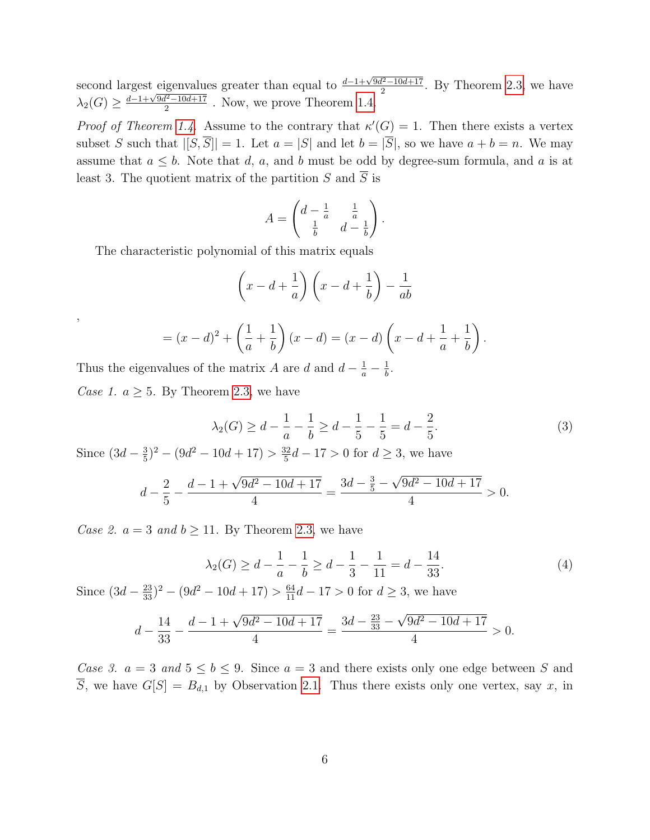second largest eigenvalues greater than equal to  $\frac{d-1+\sqrt{9d^2-10d+17}}{2}$  $\frac{l^2-10d+17}{2}$ . By Theorem [2.3,](#page-3-2) we have  $\lambda_2(G) \geq \frac{d-1+\sqrt{9d^2-10d+17}}{2}$  $\frac{2^{2}-10d+17}{2}$ . Now, we prove Theorem [1.4.](#page-2-0)

*Proof of Theorem [1.4](#page-2-0).* Assume to the contrary that  $\kappa'(G) = 1$ . Then there exists a vertex subset S such that  $|[S,\overline{S}]|=1$ . Let  $a=|S|$  and let  $b=|\overline{S}|$ , so we have  $a+b=n$ . We may assume that  $a \leq b$ . Note that d, a, and b must be odd by degree-sum formula, and a is at least 3. The quotient matrix of the partition S and  $\overline{S}$  is

$$
A = \begin{pmatrix} d - \frac{1}{a} & \frac{1}{a} \\ \frac{1}{b} & d - \frac{1}{b} \end{pmatrix}.
$$

The characteristic polynomial of this matrix equals

$$
\left(x - d + \frac{1}{a}\right)\left(x - d + \frac{1}{b}\right) - \frac{1}{ab}
$$

$$
= (x-d)^{2} + \left(\frac{1}{a} + \frac{1}{b}\right)(x-d) = (x-d)\left(x - \frac{1}{a} + \frac{1}{b}\right).
$$

Thus the eigenvalues of the matrix A are d and  $d - \frac{1}{a} - \frac{1}{b}$  $\frac{1}{b}$ . Case 1.  $a \geq 5$ . By Theorem [2.3,](#page-3-2) we have

,

$$
\lambda_2(G) \ge d - \frac{1}{a} - \frac{1}{b} \ge d - \frac{1}{5} - \frac{1}{5} = d - \frac{2}{5}.
$$
 (3)

Since  $(3d - \frac{3}{5})$  $(\frac{3}{5})^2 - (9d^2 - 10d + 17) > \frac{32}{5}$  $\frac{32}{5}d - 17 > 0$  for  $d \ge 3$ , we have

$$
d - \frac{2}{5} - \frac{d - 1 + \sqrt{9d^2 - 10d + 17}}{4} = \frac{3d - \frac{3}{5} - \sqrt{9d^2 - 10d + 17}}{4} > 0.
$$

Case 2.  $a = 3$  and  $b \ge 11$ . By Theorem [2.3,](#page-3-2) we have

$$
\lambda_2(G) \ge d - \frac{1}{a} - \frac{1}{b} \ge d - \frac{1}{3} - \frac{1}{11} = d - \frac{14}{33}.
$$
 (4)

Since  $(3d - \frac{23}{33})^2 - (9d^2 - 10d + 17) > \frac{64}{11}d - 17 > 0$  for  $d \ge 3$ , we have

$$
d - \frac{14}{33} - \frac{d - 1 + \sqrt{9d^2 - 10d + 17}}{4} = \frac{3d - \frac{23}{33} - \sqrt{9d^2 - 10d + 17}}{4} > 0.
$$

Case 3.  $a = 3$  and  $5 \le b \le 9$ . Since  $a = 3$  and there exists only one edge between S and  $\overline{S}$ , we have  $G[S] = B_{d,1}$  by Observation [2.1.](#page-2-2) Thus there exists only one vertex, say x, in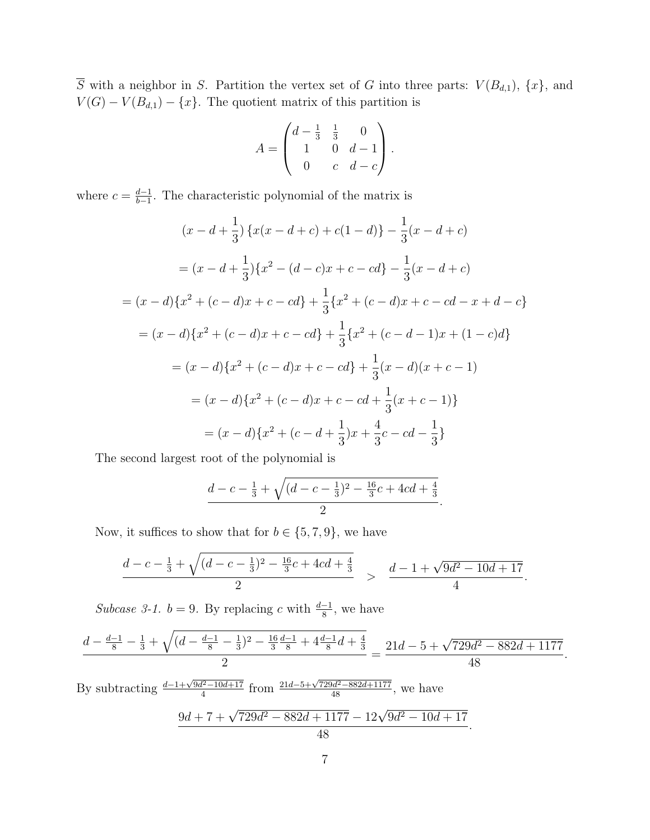$\overline{S}$  with a neighbor in S. Partition the vertex set of G into three parts:  $V(B_{d,1}), \{x\}$ , and  $V(G) - V(B_{d,1}) - \{x\}$ . The quotient matrix of this partition is

$$
A = \begin{pmatrix} d - \frac{1}{3} & \frac{1}{3} & 0 \\ 1 & 0 & d - 1 \\ 0 & c & d - c \end{pmatrix}.
$$

where  $c = \frac{d-1}{b-1}$  $\frac{d-1}{b-1}$ . The characteristic polynomial of the matrix is

$$
(x - d + \frac{1}{3}) \{x(x - d + c) + c(1 - d)\} - \frac{1}{3}(x - d + c)
$$
  

$$
= (x - d + \frac{1}{3}) \{x^2 - (d - c)x + c - cd\} - \frac{1}{3}(x - d + c)
$$
  

$$
= (x - d) \{x^2 + (c - d)x + c - cd\} + \frac{1}{3} \{x^2 + (c - d)x + c - cd - x + d - c\}
$$
  

$$
= (x - d) \{x^2 + (c - d)x + c - cd\} + \frac{1}{3} \{x^2 + (c - d - 1)x + (1 - c)d\}
$$
  

$$
= (x - d) \{x^2 + (c - d)x + c - cd\} + \frac{1}{3}(x - d)(x + c - 1)
$$
  

$$
= (x - d) \{x^2 + (c - d)x + c - cd + \frac{1}{3}(x + c - 1)\}
$$
  

$$
= (x - d) \{x^2 + (c - d + \frac{1}{3})x + \frac{4}{3}c - cd - \frac{1}{3}\}
$$

The second largest root of the polynomial is

$$
\frac{d-c-\frac{1}{3}+\sqrt{(d-c-\frac{1}{3})^2-\frac{16}{3}c+4cd+\frac{4}{3}}}{2}.
$$

Now, it suffices to show that for  $b \in \{5, 7, 9\}$ , we have

$$
\frac{d-c-\frac{1}{3}+\sqrt{(d-c-\frac{1}{3})^2-\frac{16}{3}c+4cd+\frac{4}{3}}}{2} > \frac{d-1+\sqrt{9d^2-10d+17}}{4}.
$$

Subcase 3-1.  $b = 9$ . By replacing c with  $\frac{d-1}{8}$ , we have

$$
\frac{d - \frac{d-1}8 - \frac 13 +\sqrt{(d-\frac{d-1}8-\frac 13)^2-\frac{16}3\frac{d-1}8+4\frac{d-1}8d+\frac 43}}2=\frac{21d-5+\sqrt{729d^2-882d+1177}}{48}.
$$

By subtracting  $\frac{d-1+\sqrt{9d^2-10d+17}}{4}$  $\frac{d^2-10d+17}{4}$  from  $\frac{21d-5+\sqrt{729d^2-882d+1177}}{48}$ , we have

$$
\frac{9d+7+\sqrt{729d^2-882d+1177}-12\sqrt{9d^2-10d+17}}{48}.
$$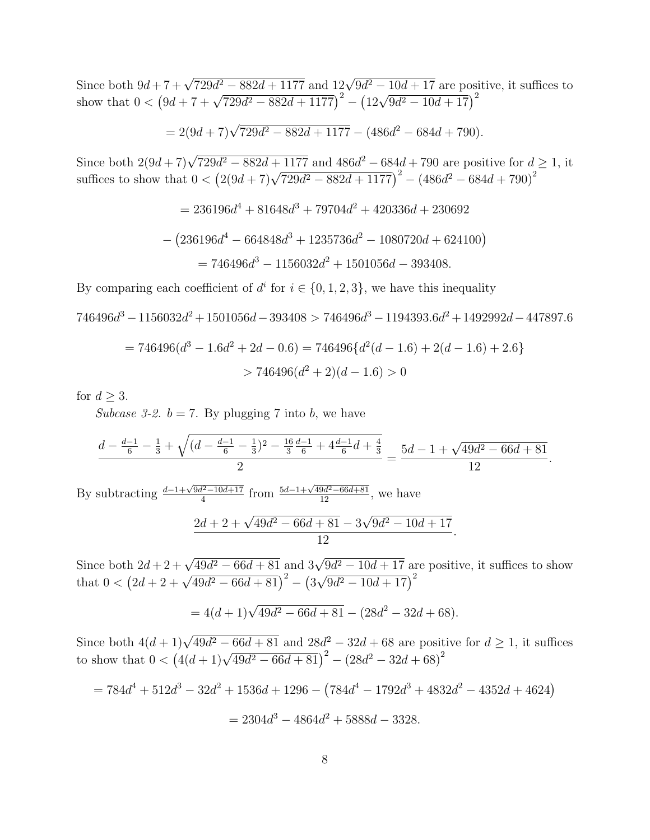Since both  $9d + 7 + \sqrt{729d^2 - 882d + 1177}$  and  $12\sqrt{9d^2 - 10d + 17}$  are positive, it suffices to show that  $0 < (9d + 7 + \sqrt{729d^2 - 882d + 1177})^2 - (12\sqrt{9d^2 - 10d + 17})^2$ 

$$
= 2(9d+7)\sqrt{729d^2 - 882d + 1177} - (486d^2 - 684d + 790).
$$

Since both  $2(9d+7)\sqrt{729d^2 - 882d + 1177}$  and  $486d^2 - 684d + 790$  are positive for  $d \ge 1$ , it suffices to show that  $0 < (2(9d + 7)\sqrt{729d^2 - 882d + 1177})^2 - (486d^2 - 684d + 790)^2$ 

$$
= 236196d4 + 81648d3 + 79704d2 + 420336d + 230692
$$

$$
- (236196d4 - 664848d3 + 1235736d2 - 1080720d + 624100)
$$

$$
= 746496d3 - 1156032d2 + 1501056d - 393408.
$$

By comparing each coefficient of  $d^i$  for  $i \in \{0, 1, 2, 3\}$ , we have this inequality

 $746496d^3 - 1156032d^2 + 1501056d - 393408 > 746496d^3 - 1194393.6d^2 + 1492992d - 447897.6$ 

$$
= 746496(d3 - 1.6d2 + 2d - 0.6) = 746496{d2(d - 1.6) + 2(d - 1.6) + 2.6}
$$

$$
> 746496(d2 + 2)(d - 1.6) > 0
$$

for  $d \geq 3$ .

Subcase 3-2.  $b = 7$ . By plugging 7 into b, we have

$$
\frac{d - \frac{d-1}6 - \frac 13 +\sqrt{(d-\frac{d-1}6-\frac 13)^2-\frac{16}3\frac{d-1}6+4\frac{d-1}6d+\frac 43}}2=\frac{5d-1+\sqrt{49d^2-66d+81}}{12}.
$$

By subtracting  $\frac{d-1+\sqrt{9d^2-10d+17}}{4}$  $\frac{d^2-10d+17}{4}$  from  $\frac{5d-1+\sqrt{49d^2-66d+81}}{12}$ , we have

$$
\frac{2d+2+\sqrt{49d^2-66d+81}-3\sqrt{9d^2-10d+17}}{12}.
$$

Since both  $2d + 2 + \sqrt{49d^2 - 66d + 81}$  and  $3\sqrt{9d^2 - 10d + 17}$  are positive, it suffices to show that  $0 < (2d + 2 + \sqrt{49d^2 - 66d + 81})^2 - (3$ √  $\sqrt{9d^2-10d+17}^2$ <sup>2</sup>

$$
= 4(d+1)\sqrt{49d^2 - 66d + 81} - (28d^2 - 32d + 68).
$$

Since both  $4(d+1)\sqrt{49d^2-66d+81}$  and  $28d^2-32d+68$  are positive for  $d\geq 1$ , it suffices to show that  $0 < (4(d+1)\sqrt{49d^2 - 66d + 81})^2 - (28d^2 - 32d + 68)^2$ 

$$
= 784d4 + 512d3 - 32d2 + 1536d + 1296 - (784d4 - 1792d3 + 4832d2 - 4352d + 4624)
$$

$$
= 2304d3 - 4864d2 + 5888d - 3328.
$$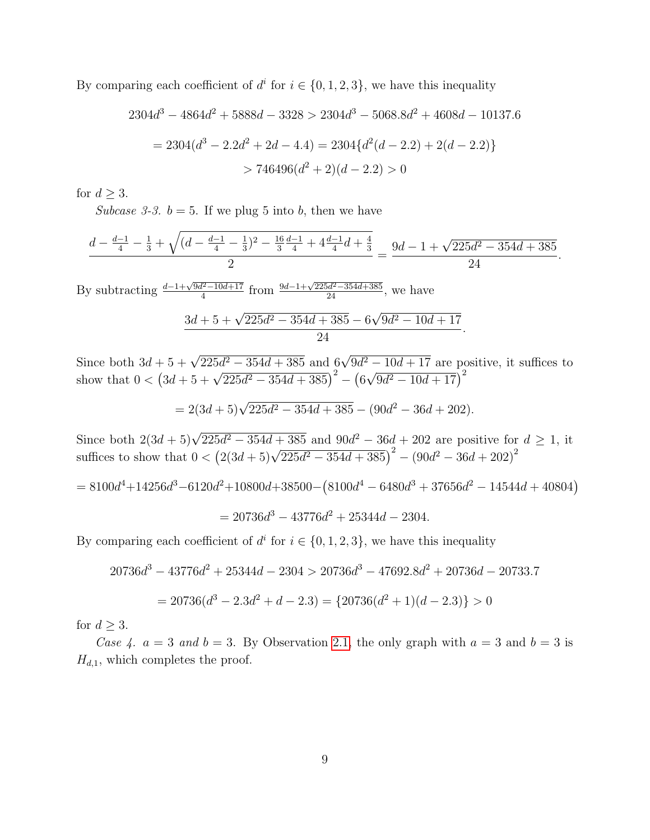By comparing each coefficient of  $d^i$  for  $i \in \{0, 1, 2, 3\}$ , we have this inequality

$$
2304d3 - 4864d2 + 5888d - 3328 > 2304d3 - 5068.8d2 + 4608d - 10137.6
$$
  
= 2304(d<sup>3</sup> - 2.2d<sup>2</sup> + 2d - 4.4) = 2304{d<sup>2</sup>(d - 2.2) + 2(d - 2.2)}  
> 746496(d<sup>2</sup> + 2)(d - 2.2) > 0

for  $d \geq 3$ .

Subcase 3-3.  $b = 5$ . If we plug 5 into b, then we have

$$
\frac{d - \frac{d-1}4 - \frac 13 +\sqrt{(d-\frac{d-1}4-\frac 13)^2-\frac{16}3\frac{d-1}4+4\frac{d-1}4d+\frac 43}}2=\frac{9d-1+\sqrt{225d^2-354d+385}}{24}.
$$

By subtracting  $\frac{d-1+\sqrt{9d^2-10d+17}}{4}$  $\frac{d^2-10d+17}{4}$  from  $\frac{9d-1+\sqrt{225d^2-354d+385}}{24}$ , we have

$$
\frac{3d+5+\sqrt{225d^2-354d+385}-6\sqrt{9d^2-10d+17}}{24}
$$

.

Since both  $3d + 5 + \sqrt{225d^2 - 354d + 385}$  and  $6\sqrt{9d^2 - 10d + 17}$  are positive, it suffices to show that  $0 < (3d + 5 + \sqrt{225d^2 - 354d + 385})^2 - (6$ √  $\overline{9d^2-10d+17}^2$ <sup>2</sup>

$$
= 2(3d+5)\sqrt{225d^2 - 354d + 385} - (90d^2 - 36d + 202).
$$

Since both  $2(3d+5)\sqrt{225d^2-354d+385}$  and  $90d^2-36d+202$  are positive for  $d \ge 1$ , it suffices to show that  $0 < (2(3d+5)\sqrt{225d^2-354d+385})^2 - (90d^2-36d+202)^2$ 

$$
=8100d^4+14256d^3-6120d^2+10800d+38500-(8100d^4-6480d^3+37656d^2-14544d+40804)
$$

$$
= 20736d^3 - 43776d^2 + 25344d - 2304.
$$

By comparing each coefficient of  $d^i$  for  $i \in \{0, 1, 2, 3\}$ , we have this inequality

$$
20736d3 - 43776d2 + 25344d - 2304 > 20736d3 - 47692.8d2 + 20736d - 20733.7
$$

$$
= 20736(d3 - 2.3d2 + d - 2.3) = \{20736(d2 + 1)(d - 2.3)\} > 0
$$

for  $d > 3$ .

Case 4.  $a = 3$  and  $b = 3$ . By Observation [2.1,](#page-2-2) the only graph with  $a = 3$  and  $b = 3$  is  $H_{d,1}$ , which completes the proof.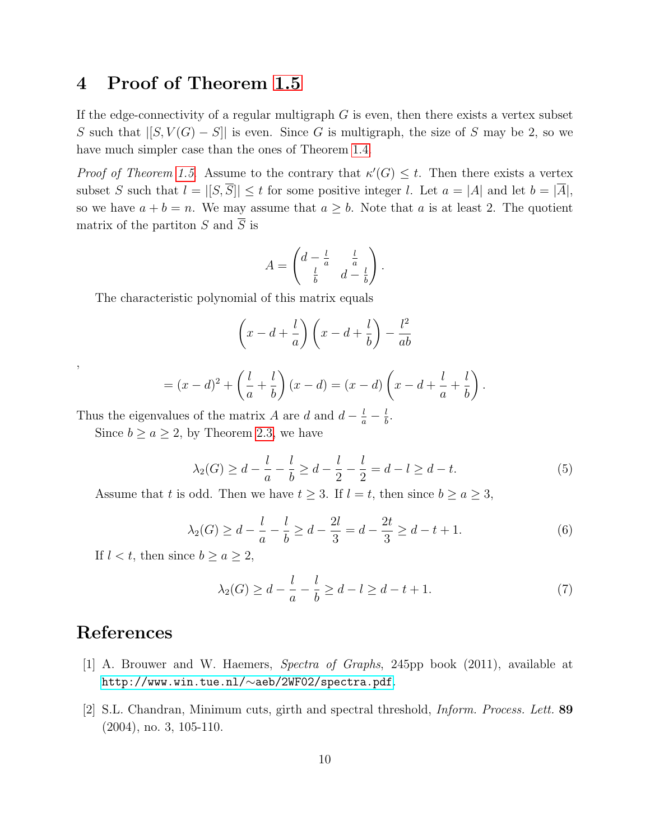#### 4 Proof of Theorem [1.5](#page-2-1)

If the edge-connectivity of a regular multigraph  $G$  is even, then there exists a vertex subset S such that  $|[S, V(G) - S]|$  is even. Since G is multigraph, the size of S may be 2, so we have much simpler case than the ones of Theorem [1.4.](#page-2-0)

*Proof of Theorem [1.5](#page-2-1).* Assume to the contrary that  $\kappa'(G) \leq t$ . Then there exists a vertex subset S such that  $l = |[S, \overline{S}]| \le t$  for some positive integer l. Let  $a = |A|$  and let  $b = |\overline{A}|$ , so we have  $a + b = n$ . We may assume that  $a \geq b$ . Note that a is at least 2. The quotient matrix of the partiton S and  $\overline{S}$  is

$$
A = \begin{pmatrix} d - \frac{l}{a} & \frac{l}{a} \\ \frac{l}{b} & d - \frac{l}{b} \end{pmatrix}.
$$

The characteristic polynomial of this matrix equals

$$
\left(x - d + \frac{l}{a}\right)\left(x - d + \frac{l}{b}\right) - \frac{l^2}{ab}
$$

$$
\bigg\},
$$

 $=(x-d)^2+\left(\frac{l}{2}\right)$ a  $+$ l b  $\setminus$  $(x - d) = (x - d)$  $\sqrt{ }$  $x-d+\frac{l}{q}$ a  $+$ l b  $\setminus$ .

Thus the eigenvalues of the matrix A are d and  $d - \frac{l}{a} - \frac{l}{b}$  $\frac{l}{b}$ .

Since  $b \ge a \ge 2$ , by Theorem [2.3,](#page-3-2) we have

$$
\lambda_2(G) \ge d - \frac{l}{a} - \frac{l}{b} \ge d - \frac{l}{2} - \frac{l}{2} = d - l \ge d - t.
$$
 (5)

Assume that t is odd. Then we have  $t \geq 3$ . If  $l = t$ , then since  $b \geq a \geq 3$ ,

$$
\lambda_2(G) \ge d - \frac{l}{a} - \frac{l}{b} \ge d - \frac{2l}{3} = d - \frac{2t}{3} \ge d - t + 1. \tag{6}
$$

If  $l < t$ , then since  $b \ge a \ge 2$ ,

$$
\lambda_2(G) \ge d - \frac{l}{a} - \frac{l}{b} \ge d - l \ge d - t + 1. \tag{7}
$$

#### References

- <span id="page-9-1"></span>[1] A. Brouwer and W. Haemers, Spectra of Graphs, 245pp book (2011), available at [http://www.win.tue.nl/](http://www.win.tue.nl/~aeb/2WF02/spectra.pdf)∼aeb/2WF02/spectra.pdf.
- <span id="page-9-0"></span>[2] S.L. Chandran, Minimum cuts, girth and spectral threshold, Inform. Process. Lett. 89 (2004), no. 3, 105-110.